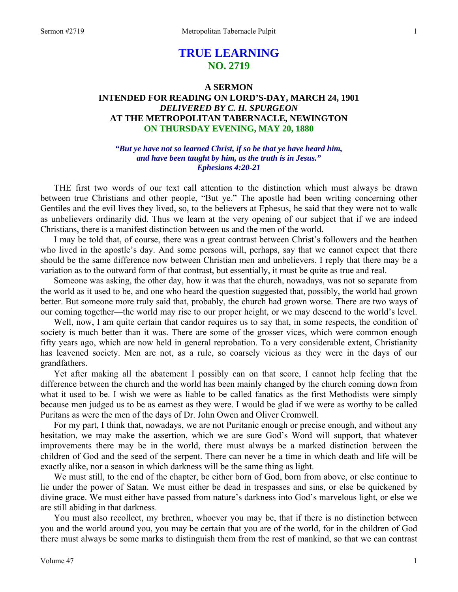# **TRUE LEARNING NO. 2719**

## **A SERMON INTENDED FOR READING ON LORD'S-DAY, MARCH 24, 1901**  *DELIVERED BY C. H. SPURGEON*  **AT THE METROPOLITAN TABERNACLE, NEWINGTON ON THURSDAY EVENING, MAY 20, 1880**

*"But ye have not so learned Christ, if so be that ye have heard him, and have been taught by him, as the truth is in Jesus." Ephesians 4:20-21* 

THE first two words of our text call attention to the distinction which must always be drawn between true Christians and other people, "But ye." The apostle had been writing concerning other Gentiles and the evil lives they lived, so, to the believers at Ephesus, he said that they were not to walk as unbelievers ordinarily did. Thus we learn at the very opening of our subject that if we are indeed Christians, there is a manifest distinction between us and the men of the world.

 I may be told that, of course, there was a great contrast between Christ's followers and the heathen who lived in the apostle's day. And some persons will, perhaps, say that we cannot expect that there should be the same difference now between Christian men and unbelievers. I reply that there may be a variation as to the outward form of that contrast, but essentially, it must be quite as true and real.

 Someone was asking, the other day, how it was that the church, nowadays, was not so separate from the world as it used to be, and one who heard the question suggested that, possibly, the world had grown better. But someone more truly said that, probably, the church had grown worse. There are two ways of our coming together—the world may rise to our proper height, or we may descend to the world's level.

 Well, now, I am quite certain that candor requires us to say that, in some respects, the condition of society is much better than it was. There are some of the grosser vices, which were common enough fifty years ago, which are now held in general reprobation. To a very considerable extent, Christianity has leavened society. Men are not, as a rule, so coarsely vicious as they were in the days of our grandfathers.

 Yet after making all the abatement I possibly can on that score, I cannot help feeling that the difference between the church and the world has been mainly changed by the church coming down from what it used to be. I wish we were as liable to be called fanatics as the first Methodists were simply because men judged us to be as earnest as they were. I would be glad if we were as worthy to be called Puritans as were the men of the days of Dr. John Owen and Oliver Cromwell.

 For my part, I think that, nowadays, we are not Puritanic enough or precise enough, and without any hesitation, we may make the assertion, which we are sure God's Word will support, that whatever improvements there may be in the world, there must always be a marked distinction between the children of God and the seed of the serpent. There can never be a time in which death and life will be exactly alike, nor a season in which darkness will be the same thing as light.

 We must still, to the end of the chapter, be either born of God, born from above, or else continue to lie under the power of Satan. We must either be dead in trespasses and sins, or else be quickened by divine grace. We must either have passed from nature's darkness into God's marvelous light, or else we are still abiding in that darkness.

 You must also recollect, my brethren, whoever you may be, that if there is no distinction between you and the world around you, you may be certain that you are of the world, for in the children of God there must always be some marks to distinguish them from the rest of mankind, so that we can contrast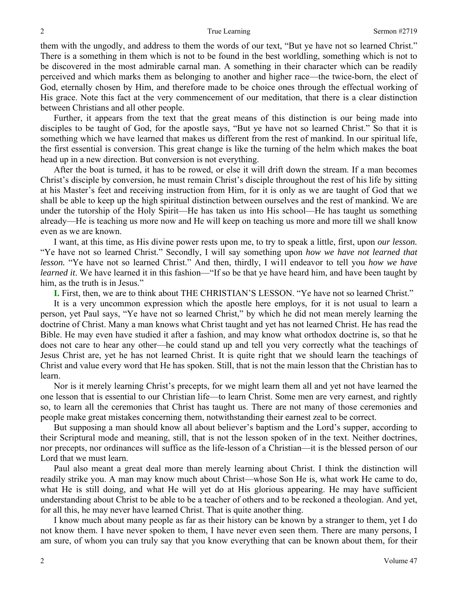them with the ungodly, and address to them the words of our text, "But ye have not so learned Christ." There is a something in them which is not to be found in the best worldling, something which is not to be discovered in the most admirable carnal man. A something in their character which can be readily perceived and which marks them as belonging to another and higher race—the twice-born, the elect of God, eternally chosen by Him, and therefore made to be choice ones through the effectual working of His grace. Note this fact at the very commencement of our meditation, that there is a clear distinction between Christians and all other people.

 Further, it appears from the text that the great means of this distinction is our being made into disciples to be taught of God, for the apostle says, "But ye have not so learned Christ." So that it is something which we have learned that makes us different from the rest of mankind. In our spiritual life, the first essential is conversion. This great change is like the turning of the helm which makes the boat head up in a new direction. But conversion is not everything.

 After the boat is turned, it has to be rowed, or else it will drift down the stream. If a man becomes Christ's disciple by conversion, he must remain Christ's disciple throughout the rest of his life by sitting at his Master's feet and receiving instruction from Him, for it is only as we are taught of God that we shall be able to keep up the high spiritual distinction between ourselves and the rest of mankind. We are under the tutorship of the Holy Spirit—He has taken us into His school—He has taught us something already—He is teaching us more now and He will keep on teaching us more and more till we shall know even as we are known.

 I want, at this time, as His divine power rests upon me, to try to speak a little, first, upon *our lesson.* "Ye have not so learned Christ." Secondly, I will say something upon *how we have not learned that lesson.* "Ye have not so learned Christ." And then, thirdly, I wi1l endeavor to tell you *how we have learned it*. We have learned it in this fashion—"If so be that ye have heard him, and have been taught by him, as the truth is in Jesus."

**I.** First, then, we are to think about THE CHRISTIAN'S LESSON. "Ye have not so learned Christ."

 It is a very uncommon expression which the apostle here employs, for it is not usual to learn a person, yet Paul says, "Ye have not so learned Christ," by which he did not mean merely learning the doctrine of Christ. Many a man knows what Christ taught and yet has not learned Christ. He has read the Bible. He may even have studied it after a fashion, and may know what orthodox doctrine is, so that he does not care to hear any other—he could stand up and tell you very correctly what the teachings of Jesus Christ are, yet he has not learned Christ. It is quite right that we should learn the teachings of Christ and value every word that He has spoken. Still, that is not the main lesson that the Christian has to learn.

 Nor is it merely learning Christ's precepts, for we might learn them all and yet not have learned the one lesson that is essential to our Christian life—to learn Christ. Some men are very earnest, and rightly so, to learn all the ceremonies that Christ has taught us. There are not many of those ceremonies and people make great mistakes concerning them, notwithstanding their earnest zeal to be correct.

 But supposing a man should know all about believer's baptism and the Lord's supper, according to their Scriptural mode and meaning, still, that is not the lesson spoken of in the text. Neither doctrines, nor precepts, nor ordinances will suffice as the life-lesson of a Christian—it is the blessed person of our Lord that we must learn.

 Paul also meant a great deal more than merely learning about Christ. I think the distinction will readily strike you. A man may know much about Christ—whose Son He is, what work He came to do, what He is still doing, and what He will yet do at His glorious appearing. He may have sufficient understanding about Christ to be able to be a teacher of others and to be reckoned a theologian. And yet, for all this, he may never have learned Christ. That is quite another thing.

 I know much about many people as far as their history can be known by a stranger to them, yet I do not know them. I have never spoken to them, I have never even seen them. There are many persons, I am sure, of whom you can truly say that you know everything that can be known about them, for their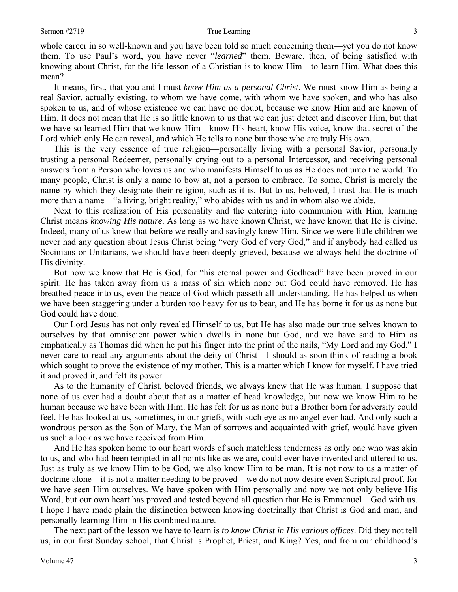whole career in so well-known and you have been told so much concerning them—yet you do not know them. To use Paul's word, you have never "*learned*" them. Beware, then, of being satisfied with knowing about Christ, for the life-lesson of a Christian is to know Him—to learn Him. What does this mean?

 It means, first, that you and I must *know Him as a personal Christ*. We must know Him as being a real Savior, actually existing, to whom we have come, with whom we have spoken, and who has also spoken to us, and of whose existence we can have no doubt, because we know Him and are known of Him. It does not mean that He is so little known to us that we can just detect and discover Him, but that we have so learned Him that we know Him—know His heart, know His voice, know that secret of the Lord which only He can reveal, and which He tells to none but those who are truly His own.

 This is the very essence of true religion—personally living with a personal Savior, personally trusting a personal Redeemer, personally crying out to a personal Intercessor, and receiving personal answers from a Person who loves us and who manifests Himself to us as He does not unto the world. To many people, Christ is only a name to bow at, not a person to embrace. To some, Christ is merely the name by which they designate their religion, such as it is. But to us, beloved, I trust that He is much more than a name—"a living, bright reality," who abides with us and in whom also we abide.

 Next to this realization of His personality and the entering into communion with Him, learning Christ means *knowing His nature*. As long as we have known Christ, we have known that He is divine. Indeed, many of us knew that before we really and savingly knew Him. Since we were little children we never had any question about Jesus Christ being "very God of very God," and if anybody had called us Socinians or Unitarians, we should have been deeply grieved, because we always held the doctrine of His divinity.

 But now we know that He is God, for "his eternal power and Godhead" have been proved in our spirit. He has taken away from us a mass of sin which none but God could have removed. He has breathed peace into us, even the peace of God which passeth all understanding. He has helped us when we have been staggering under a burden too heavy for us to bear, and He has borne it for us as none but God could have done.

 Our Lord Jesus has not only revealed Himself to us, but He has also made our true selves known to ourselves by that omniscient power which dwells in none but God, and we have said to Him as emphatically as Thomas did when he put his finger into the print of the nails, "My Lord and my God." I never care to read any arguments about the deity of Christ—I should as soon think of reading a book which sought to prove the existence of my mother. This is a matter which I know for myself. I have tried it and proved it, and felt its power.

 As to the humanity of Christ, beloved friends, we always knew that He was human. I suppose that none of us ever had a doubt about that as a matter of head knowledge, but now we know Him to be human because we have been with Him. He has felt for us as none but a Brother born for adversity could feel. He has looked at us, sometimes, in our griefs, with such eye as no angel ever had. And only such a wondrous person as the Son of Mary, the Man of sorrows and acquainted with grief, would have given us such a look as we have received from Him.

 And He has spoken home to our heart words of such matchless tenderness as only one who was akin to us, and who had been tempted in all points like as we are, could ever have invented and uttered to us. Just as truly as we know Him to be God, we also know Him to be man. It is not now to us a matter of doctrine alone—it is not a matter needing to be proved—we do not now desire even Scriptural proof, for we have seen Him ourselves. We have spoken with Him personally and now we not only believe His Word, but our own heart has proved and tested beyond all question that He is Emmanuel—God with us. I hope I have made plain the distinction between knowing doctrinally that Christ is God and man, and personally learning Him in His combined nature.

 The next part of the lesson we have to learn is *to know Christ in His various offices*. Did they not tell us, in our first Sunday school, that Christ is Prophet, Priest, and King? Yes, and from our childhood's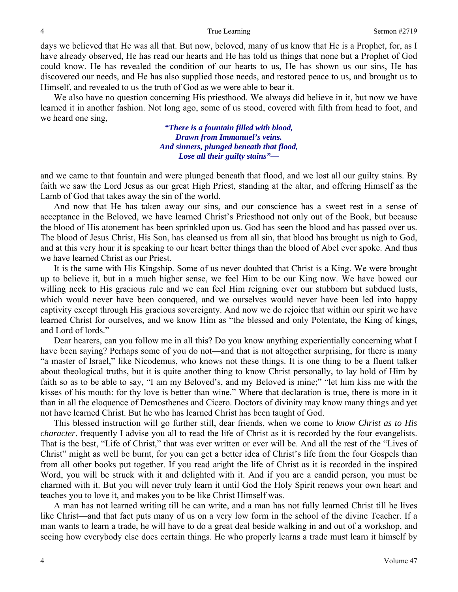days we believed that He was all that. But now, beloved, many of us know that He is a Prophet, for, as I have already observed, He has read our hearts and He has told us things that none but a Prophet of God could know. He has revealed the condition of our hearts to us, He has shown us our sins, He has discovered our needs, and He has also supplied those needs, and restored peace to us, and brought us to Himself, and revealed to us the truth of God as we were able to bear it.

 We also have no question concerning His priesthood. We always did believe in it, but now we have learned it in another fashion. Not long ago, some of us stood, covered with filth from head to foot, and we heard one sing,

> *"There is a fountain filled with blood, Drawn from Immanuel's veins. And sinners, plunged beneath that flood, Lose all their guilty stains"—*

and we came to that fountain and were plunged beneath that flood, and we lost all our guilty stains. By faith we saw the Lord Jesus as our great High Priest, standing at the altar, and offering Himself as the Lamb of God that takes away the sin of the world.

 And now that He has taken away our sins, and our conscience has a sweet rest in a sense of acceptance in the Beloved, we have learned Christ's Priesthood not only out of the Book, but because the blood of His atonement has been sprinkled upon us. God has seen the blood and has passed over us. The blood of Jesus Christ, His Son, has cleansed us from all sin, that blood has brought us nigh to God, and at this very hour it is speaking to our heart better things than the blood of Abel ever spoke. And thus we have learned Christ as our Priest.

 It is the same with His Kingship. Some of us never doubted that Christ is a King. We were brought up to believe it, but in a much higher sense, we feel Him to be our King now. We have bowed our willing neck to His gracious rule and we can feel Him reigning over our stubborn but subdued lusts, which would never have been conquered, and we ourselves would never have been led into happy captivity except through His gracious sovereignty. And now we do rejoice that within our spirit we have learned Christ for ourselves, and we know Him as "the blessed and only Potentate, the King of kings, and Lord of lords."

 Dear hearers, can you follow me in all this? Do you know anything experientially concerning what I have been saying? Perhaps some of you do not—and that is not altogether surprising, for there is many "a master of Israel," like Nicodemus, who knows not these things. It is one thing to be a fluent talker about theological truths, but it is quite another thing to know Christ personally, to lay hold of Him by faith so as to be able to say, "I am my Beloved's, and my Beloved is mine;" "let him kiss me with the kisses of his mouth: for thy love is better than wine." Where that declaration is true, there is more in it than in all the eloquence of Demosthenes and Cicero. Doctors of divinity may know many things and yet not have learned Christ. But he who has learned Christ has been taught of God.

 This blessed instruction will go further still, dear friends, when we come to *know Christ as to His character*. frequently I advise you all to read the life of Christ as it is recorded by the four evangelists. That is the best, "Life of Christ," that was ever written or ever will be. And all the rest of the "Lives of Christ" might as well be burnt, for you can get a better idea of Christ's life from the four Gospels than from all other books put together. If you read aright the life of Christ as it is recorded in the inspired Word, you will be struck with it and delighted with it. And if you are a candid person, you must be charmed with it. But you will never truly learn it until God the Holy Spirit renews your own heart and teaches you to love it, and makes you to be like Christ Himself was.

 A man has not learned writing till he can write, and a man has not fully learned Christ till he lives like Christ—and that fact puts many of us on a very low form in the school of the divine Teacher. If a man wants to learn a trade, he will have to do a great deal beside walking in and out of a workshop, and seeing how everybody else does certain things. He who properly learns a trade must learn it himself by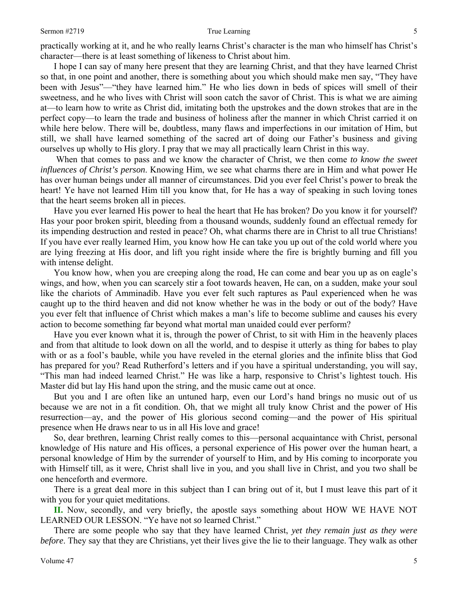practically working at it, and he who really learns Christ's character is the man who himself has Christ's character—there is at least something of likeness to Christ about him.

 I hope I can say of many here present that they are learning Christ, and that they have learned Christ so that, in one point and another, there is something about you which should make men say, "They have been with Jesus"—"they have learned him." He who lies down in beds of spices will smell of their sweetness, and he who lives with Christ will soon catch the savor of Christ. This is what we are aiming at—to learn how to write as Christ did, imitating both the upstrokes and the down strokes that are in the perfect copy—to learn the trade and business of holiness after the manner in which Christ carried it on while here below. There will be, doubtless, many flaws and imperfections in our imitation of Him, but still, we shall have learned something of the sacred art of doing our Father's business and giving ourselves up wholly to His glory. I pray that we may all practically learn Christ in this way.

 When that comes to pass and we know the character of Christ, we then come *to know the sweet influences of Christ's person*. Knowing Him, we see what charms there are in Him and what power He has over human beings under all manner of circumstances. Did you ever feel Christ's power to break the heart! Ye have not learned Him till you know that, for He has a way of speaking in such loving tones that the heart seems broken all in pieces.

 Have you ever learned His power to heal the heart that He has broken? Do you know it for yourself? Has your poor broken spirit, bleeding from a thousand wounds, suddenly found an effectual remedy for its impending destruction and rested in peace? Oh, what charms there are in Christ to all true Christians! If you have ever really learned Him, you know how He can take you up out of the cold world where you are lying freezing at His door, and lift you right inside where the fire is brightly burning and fill you with intense delight.

 You know how, when you are creeping along the road, He can come and bear you up as on eagle's wings, and how, when you can scarcely stir a foot towards heaven, He can, on a sudden, make your soul like the chariots of Amminadib. Have you ever felt such raptures as Paul experienced when he was caught up to the third heaven and did not know whether he was in the body or out of the body? Have you ever felt that influence of Christ which makes a man's life to become sublime and causes his every action to become something far beyond what mortal man unaided could ever perform?

 Have you ever known what it is, through the power of Christ, to sit with Him in the heavenly places and from that altitude to look down on all the world, and to despise it utterly as thing for babes to play with or as a fool's bauble, while you have reveled in the eternal glories and the infinite bliss that God has prepared for you? Read Rutherford's letters and if you have a spiritual understanding, you will say, "This man had indeed learned Christ." He was like a harp, responsive to Christ's lightest touch. His Master did but lay His hand upon the string, and the music came out at once.

 But you and I are often like an untuned harp, even our Lord's hand brings no music out of us because we are not in a fit condition. Oh, that we might all truly know Christ and the power of His resurrection—ay, and the power of His glorious second coming—and the power of His spiritual presence when He draws near to us in all His love and grace!

 So, dear brethren, learning Christ really comes to this—personal acquaintance with Christ, personal knowledge of His nature and His offices, a personal experience of His power over the human heart, a personal knowledge of Him by the surrender of yourself to Him, and by His coming to incorporate you with Himself till, as it were, Christ shall live in you, and you shall live in Christ, and you two shall be one henceforth and evermore.

 There is a great deal more in this subject than I can bring out of it, but I must leave this part of it with you for your quiet meditations.

**II.** Now, secondly, and very briefly, the apostle says something about HOW WE HAVE NOT LEARNED OUR LESSON. "Ye have not *so* learned Christ."

 There are some people who say that they have learned Christ, *yet they remain just as they were before*. They say that they are Christians, yet their lives give the lie to their language. They walk as other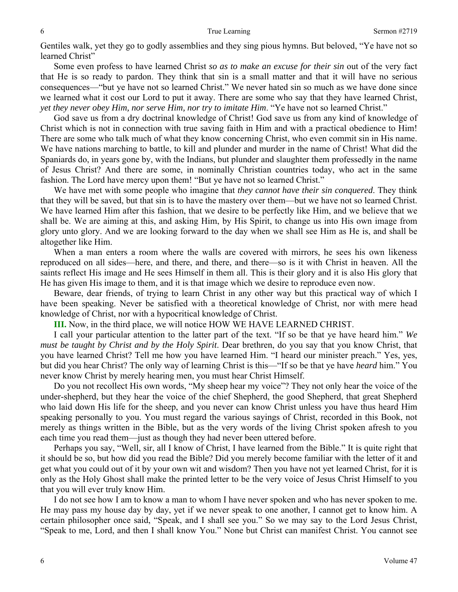Gentiles walk, yet they go to godly assemblies and they sing pious hymns. But beloved, "Ye have not so learned Christ"

 Some even profess to have learned Christ *so as to make an excuse for their sin* out of the very fact that He is so ready to pardon. They think that sin is a small matter and that it will have no serious consequences—"but ye have not so learned Christ." We never hated sin so much as we have done since we learned what it cost our Lord to put it away. There are some who say that they have learned Christ, *yet they never obey Him, nor serve Him, nor try to imitate Him*. "Ye have not so learned Christ."

 God save us from a dry doctrinal knowledge of Christ! God save us from any kind of knowledge of Christ which is not in connection with true saving faith in Him and with a practical obedience to Him! There are some who talk much of what they know concerning Christ, who even commit sin in His name. We have nations marching to battle, to kill and plunder and murder in the name of Christ! What did the Spaniards do, in years gone by, with the Indians, but plunder and slaughter them professedly in the name of Jesus Christ? And there are some, in nominally Christian countries today, who act in the same fashion. The Lord have mercy upon them! "But ye have not so learned Christ."

 We have met with some people who imagine that *they cannot have their sin conquered*. They think that they will be saved, but that sin is to have the mastery over them—but we have not so learned Christ. We have learned Him after this fashion, that we desire to be perfectly like Him, and we believe that we shall be. We are aiming at this, and asking Him, by His Spirit, to change us into His own image from glory unto glory. And we are looking forward to the day when we shall see Him as He is, and shall be altogether like Him.

 When a man enters a room where the walls are covered with mirrors, he sees his own likeness reproduced on all sides—here, and there, and there, and there—so is it with Christ in heaven. All the saints reflect His image and He sees Himself in them all. This is their glory and it is also His glory that He has given His image to them, and it is that image which we desire to reproduce even now.

 Beware, dear friends, of trying to learn Christ in any other way but this practical way of which I have been speaking. Never be satisfied with a theoretical knowledge of Christ, nor with mere head knowledge of Christ, nor with a hypocritical knowledge of Christ.

**III.** Now, in the third place, we will notice HOW WE HAVE LEARNED CHRIST.

 I call your particular attention to the latter part of the text. "If so be that ye have heard him." *We must be taught by Christ and by the Holy Spirit*. Dear brethren, do you say that you know Christ, that you have learned Christ? Tell me how you have learned Him. "I heard our minister preach." Yes, yes, but did you hear Christ? The only way of learning Christ is this—"If so be that ye have *heard* him." You never know Christ by merely hearing men, you must hear Christ Himself.

 Do you not recollect His own words, "My sheep hear my voice"? They not only hear the voice of the under-shepherd, but they hear the voice of the chief Shepherd, the good Shepherd, that great Shepherd who laid down His life for the sheep, and you never can know Christ unless you have thus heard Him speaking personally to you. You must regard the various sayings of Christ, recorded in this Book, not merely as things written in the Bible, but as the very words of the living Christ spoken afresh to you each time you read them—just as though they had never been uttered before.

 Perhaps you say, "Well, sir, all I know of Christ, I have learned from the Bible." It is quite right that it should be so, but how did you read the Bible? Did you merely become familiar with the letter of it and get what you could out of it by your own wit and wisdom? Then you have not yet learned Christ, for it is only as the Holy Ghost shall make the printed letter to be the very voice of Jesus Christ Himself to you that you will ever truly know Him.

 I do not see how I am to know a man to whom I have never spoken and who has never spoken to me. He may pass my house day by day, yet if we never speak to one another, I cannot get to know him. A certain philosopher once said, "Speak, and I shall see you." So we may say to the Lord Jesus Christ, "Speak to me, Lord, and then I shall know You." None but Christ can manifest Christ. You cannot see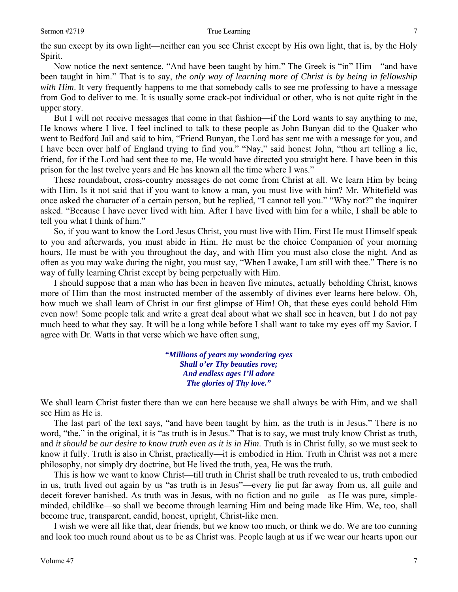the sun except by its own light—neither can you see Christ except by His own light, that is, by the Holy Spirit.

 Now notice the next sentence. "And have been taught by him." The Greek is "in" Him—"and have been taught in him." That is to say, *the only way of learning more of Christ is by being in fellowship with Him*. It very frequently happens to me that somebody calls to see me professing to have a message from God to deliver to me. It is usually some crack-pot individual or other, who is not quite right in the upper story.

 But I will not receive messages that come in that fashion—if the Lord wants to say anything to me, He knows where I live. I feel inclined to talk to these people as John Bunyan did to the Quaker who went to Bedford Jail and said to him, "Friend Bunyan, the Lord has sent me with a message for you, and I have been over half of England trying to find you." "Nay," said honest John, "thou art telling a lie, friend, for if the Lord had sent thee to me, He would have directed you straight here. I have been in this prison for the last twelve years and He has known all the time where I was."

 These roundabout, cross-country messages do not come from Christ at all. We learn Him by being with Him. Is it not said that if you want to know a man, you must live with him? Mr. Whitefield was once asked the character of a certain person, but he replied, "I cannot tell you." "Why not?" the inquirer asked. "Because I have never lived with him. After I have lived with him for a while, I shall be able to tell you what I think of him."

 So, if you want to know the Lord Jesus Christ, you must live with Him. First He must Himself speak to you and afterwards, you must abide in Him. He must be the choice Companion of your morning hours, He must be with you throughout the day, and with Him you must also close the night. And as often as you may wake during the night, you must say, "When I awake, I am still with thee." There is no way of fully learning Christ except by being perpetually with Him.

 I should suppose that a man who has been in heaven five minutes, actually beholding Christ, knows more of Him than the most instructed member of the assembly of divines ever learns here below. Oh, how much we shall learn of Christ in our first glimpse of Him! Oh, that these eyes could behold Him even now! Some people talk and write a great deal about what we shall see in heaven, but I do not pay much heed to what they say. It will be a long while before I shall want to take my eyes off my Savior. I agree with Dr. Watts in that verse which we have often sung,

> *"Millions of years my wondering eyes Shall o'er Thy beauties rove; And endless ages I'll adore The glories of Thy love."*

We shall learn Christ faster there than we can here because we shall always be with Him, and we shall see Him as He is.

 The last part of the text says, "and have been taught by him, as the truth is in Jesus." There is no word, "the," in the original, it is "as truth is in Jesus." That is to say, we must truly know Christ as truth, and *it should be our desire to know truth even as it is in Him*. Truth is in Christ fully, so we must seek to know it fully. Truth is also in Christ, practically—it is embodied in Him. Truth in Christ was not a mere philosophy, not simply dry doctrine, but He lived the truth, yea, He was the truth.

 This is how we want to know Christ—till truth in Christ shall be truth revealed to us, truth embodied in us, truth lived out again by us "as truth is in Jesus"—every lie put far away from us, all guile and deceit forever banished. As truth was in Jesus, with no fiction and no guile—as He was pure, simpleminded, childlike—so shall we become through learning Him and being made like Him. We, too, shall become true, transparent, candid, honest, upright, Christ-like men.

 I wish we were all like that, dear friends, but we know too much, or think we do. We are too cunning and look too much round about us to be as Christ was. People laugh at us if we wear our hearts upon our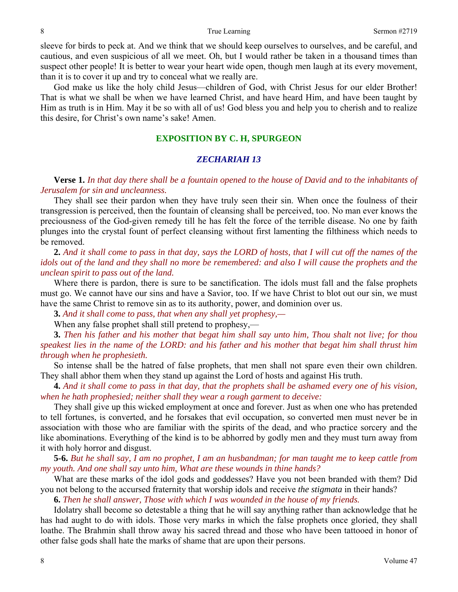sleeve for birds to peck at. And we think that we should keep ourselves to ourselves, and be careful, and cautious, and even suspicious of all we meet. Oh, but I would rather be taken in a thousand times than suspect other people! It is better to wear your heart wide open, though men laugh at its every movement, than it is to cover it up and try to conceal what we really are.

 God make us like the holy child Jesus—children of God, with Christ Jesus for our elder Brother! That is what we shall be when we have learned Christ, and have heard Him, and have been taught by Him as truth is in Him. May it be so with all of us! God bless you and help you to cherish and to realize this desire, for Christ's own name's sake! Amen.

### **EXPOSITION BY C. H, SPURGEON**

### *ZECHARIAH 13*

**Verse 1.** *In that day there shall be a fountain opened to the house of David and to the inhabitants of Jerusalem for sin and uncleanness.* 

 They shall see their pardon when they have truly seen their sin. When once the foulness of their transgression is perceived, then the fountain of cleansing shall be perceived, too. No man ever knows the preciousness of the God-given remedy till he has felt the force of the terrible disease. No one by faith plunges into the crystal fount of perfect cleansing without first lamenting the filthiness which needs to be removed.

**2.** *And it shall come to pass in that day, says the LORD of hosts, that I will cut off the names of the idols out of the land and they shall no more be remembered: and also I will cause the prophets and the unclean spirit to pass out of the land.* 

 Where there is pardon, there is sure to be sanctification. The idols must fall and the false prophets must go. We cannot have our sins and have a Savior, too. If we have Christ to blot out our sin, we must have the same Christ to remove sin as to its authority, power, and dominion over us.

**3.** *And it shall come to pass, that when any shall yet prophesy,—* 

When any false prophet shall still pretend to prophesy,—

**3.** *Then his father and his mother that begat him shall say unto him, Thou shalt not live; for thou speakest lies in the name of the LORD: and his father and his mother that begat him shall thrust him through when he prophesieth.* 

 So intense shall be the hatred of false prophets, that men shall not spare even their own children. They shall abhor them when they stand up against the Lord of hosts and against His truth.

**4.** *And it shall come to pass in that day, that the prophets shall be ashamed every one of his vision, when he hath prophesied; neither shall they wear a rough garment to deceive:* 

 They shall give up this wicked employment at once and forever. Just as when one who has pretended to tell fortunes, is converted, and he forsakes that evil occupation, so converted men must never be in association with those who are familiar with the spirits of the dead, and who practice sorcery and the like abominations. Everything of the kind is to be abhorred by godly men and they must turn away from it with holy horror and disgust.

**5-6.** *But he shall say, I am no prophet, I am an husbandman; for man taught me to keep cattle from my youth. And one shall say unto him, What are these wounds in thine hands?* 

What are these marks of the idol gods and goddesses? Have you not been branded with them? Did you not belong to the accursed fraternity that worship idols and receive *the stigmata* in their hands?

 **6.** *Then he shall answer, Those with which I was wounded in the house of my friends.* 

 Idolatry shall become so detestable a thing that he will say anything rather than acknowledge that he has had aught to do with idols. Those very marks in which the false prophets once gloried, they shall loathe. The Brahmin shall throw away his sacred thread and those who have been tattooed in honor of other false gods shall hate the marks of shame that are upon their persons.